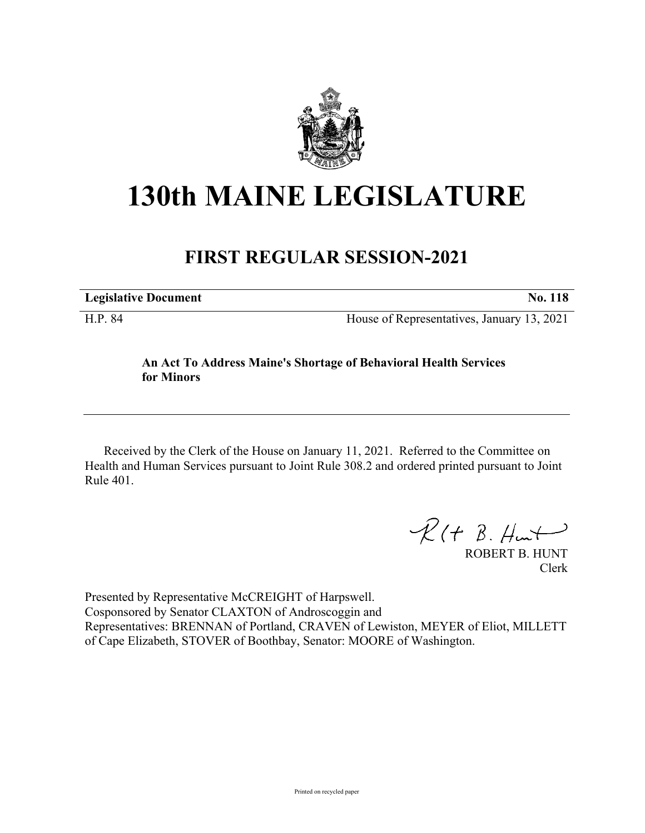

## **130th MAINE LEGISLATURE**

## **FIRST REGULAR SESSION-2021**

| <b>Legislative Document</b> | <b>No. 118</b>                             |
|-----------------------------|--------------------------------------------|
| H.P. 84                     | House of Representatives, January 13, 2021 |

## **An Act To Address Maine's Shortage of Behavioral Health Services for Minors**

Received by the Clerk of the House on January 11, 2021. Referred to the Committee on Health and Human Services pursuant to Joint Rule 308.2 and ordered printed pursuant to Joint Rule 401.

 $R(H B. H<sub>ur</sub>)$ 

ROBERT B. HUNT Clerk

Presented by Representative McCREIGHT of Harpswell. Cosponsored by Senator CLAXTON of Androscoggin and Representatives: BRENNAN of Portland, CRAVEN of Lewiston, MEYER of Eliot, MILLETT of Cape Elizabeth, STOVER of Boothbay, Senator: MOORE of Washington.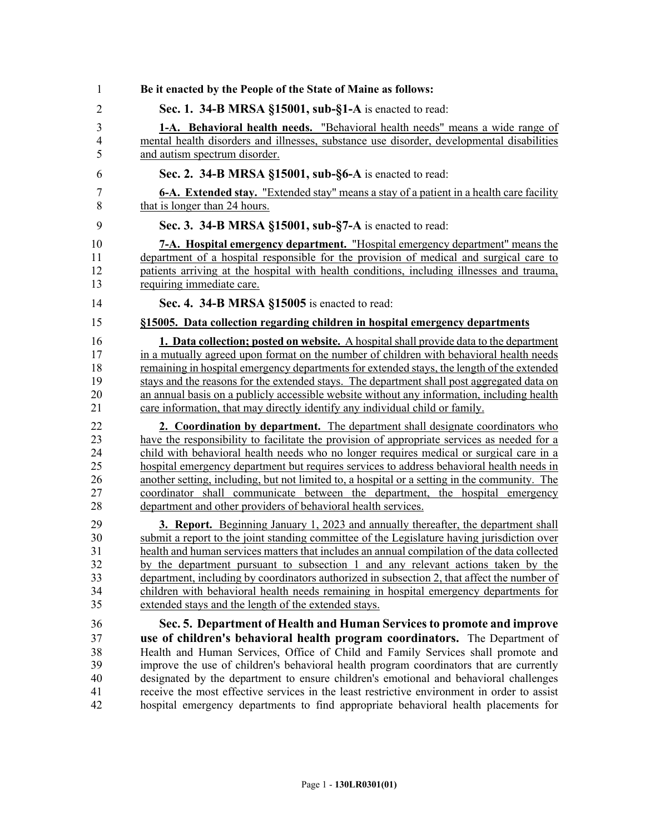| 1              | Be it enacted by the People of the State of Maine as follows:                                 |
|----------------|-----------------------------------------------------------------------------------------------|
| $\overline{2}$ | Sec. 1. 34-B MRSA §15001, sub-§1-A is enacted to read:                                        |
| 3              | 1-A. Behavioral health needs. "Behavioral health needs" means a wide range of                 |
| 4              | mental health disorders and illnesses, substance use disorder, developmental disabilities     |
| 5              | and autism spectrum disorder.                                                                 |
| 6              | Sec. 2. 34-B MRSA §15001, sub-§6-A is enacted to read:                                        |
| 7              | 6-A. Extended stay. "Extended stay" means a stay of a patient in a health care facility       |
| 8              | that is longer than 24 hours.                                                                 |
| 9              | Sec. 3. 34-B MRSA §15001, sub-§7-A is enacted to read:                                        |
| 10             | 7-A. Hospital emergency department. "Hospital emergency department" means the                 |
| 11             | department of a hospital responsible for the provision of medical and surgical care to        |
| 12             | patients arriving at the hospital with health conditions, including illnesses and trauma,     |
| 13             | requiring immediate care.                                                                     |
| 14             | Sec. 4. 34-B MRSA §15005 is enacted to read:                                                  |
| 15             | §15005. Data collection regarding children in hospital emergency departments                  |
| 16             | <b>1. Data collection; posted on website.</b> A hospital shall provide data to the department |
| 17             | in a mutually agreed upon format on the number of children with behavioral health needs       |
| 18             | remaining in hospital emergency departments for extended stays, the length of the extended    |
| 19             | stays and the reasons for the extended stays. The department shall post aggregated data on    |
| 20             | an annual basis on a publicly accessible website without any information, including health    |
| 21             | care information, that may directly identify any individual child or family.                  |
| 22             | 2. Coordination by department. The department shall designate coordinators who                |
| 23             | have the responsibility to facilitate the provision of appropriate services as needed for a   |
| 24             | child with behavioral health needs who no longer requires medical or surgical care in a       |
| 25             | hospital emergency department but requires services to address behavioral health needs in     |
| 26             | another setting, including, but not limited to, a hospital or a setting in the community. The |
| 27             | coordinator shall communicate between the department, the hospital emergency                  |
| 28             | department and other providers of behavioral health services.                                 |
| 29             | <b>3. Report.</b> Beginning January 1, 2023 and annually thereafter, the department shall     |
| 30             | submit a report to the joint standing committee of the Legislature having jurisdiction over   |
| 31             | health and human services matters that includes an annual compilation of the data collected   |
| 32             | by the department pursuant to subsection 1 and any relevant actions taken by the              |
| 33             | department, including by coordinators authorized in subsection 2, that affect the number of   |
| 34             | children with behavioral health needs remaining in hospital emergency departments for         |
| 35             | extended stays and the length of the extended stays.                                          |
| 36             | Sec. 5. Department of Health and Human Services to promote and improve                        |
| 37             | use of children's behavioral health program coordinators. The Department of                   |
| 38             | Health and Human Services, Office of Child and Family Services shall promote and              |
| 39             | improve the use of children's behavioral health program coordinators that are currently       |
| 40             | designated by the department to ensure children's emotional and behavioral challenges         |
| 41             | receive the most effective services in the least restrictive environment in order to assist   |
| 42             | hospital emergency departments to find appropriate behavioral health placements for           |